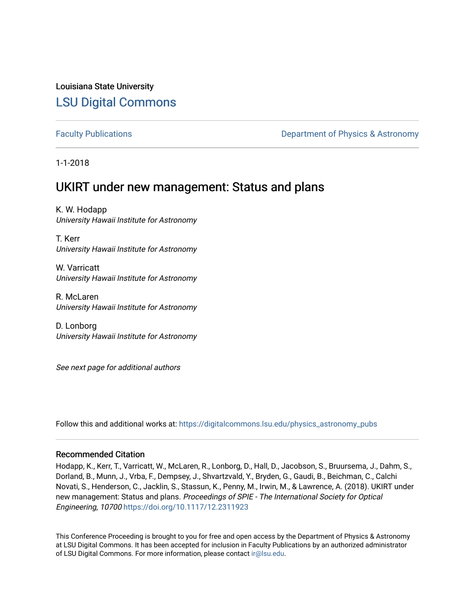## Louisiana State University [LSU Digital Commons](https://digitalcommons.lsu.edu/)

[Faculty Publications](https://digitalcommons.lsu.edu/physics_astronomy_pubs) **Example 2** Constant Department of Physics & Astronomy

1-1-2018

# UKIRT under new management: Status and plans

K. W. Hodapp University Hawaii Institute for Astronomy

T. Kerr University Hawaii Institute for Astronomy

W. Varricatt University Hawaii Institute for Astronomy

R. McLaren University Hawaii Institute for Astronomy

D. Lonborg University Hawaii Institute for Astronomy

See next page for additional authors

Follow this and additional works at: [https://digitalcommons.lsu.edu/physics\\_astronomy\\_pubs](https://digitalcommons.lsu.edu/physics_astronomy_pubs?utm_source=digitalcommons.lsu.edu%2Fphysics_astronomy_pubs%2F4163&utm_medium=PDF&utm_campaign=PDFCoverPages) 

#### Recommended Citation

Hodapp, K., Kerr, T., Varricatt, W., McLaren, R., Lonborg, D., Hall, D., Jacobson, S., Bruursema, J., Dahm, S., Dorland, B., Munn, J., Vrba, F., Dempsey, J., Shvartzvald, Y., Bryden, G., Gaudi, B., Beichman, C., Calchi Novati, S., Henderson, C., Jacklin, S., Stassun, K., Penny, M., Irwin, M., & Lawrence, A. (2018). UKIRT under new management: Status and plans. Proceedings of SPIE - The International Society for Optical Engineering, 10700 <https://doi.org/10.1117/12.2311923>

This Conference Proceeding is brought to you for free and open access by the Department of Physics & Astronomy at LSU Digital Commons. It has been accepted for inclusion in Faculty Publications by an authorized administrator of LSU Digital Commons. For more information, please contact [ir@lsu.edu](mailto:ir@lsu.edu).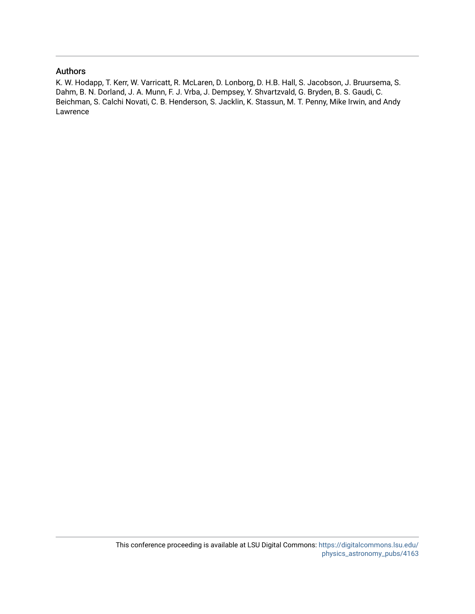#### Authors

K. W. Hodapp, T. Kerr, W. Varricatt, R. McLaren, D. Lonborg, D. H.B. Hall, S. Jacobson, J. Bruursema, S. Dahm, B. N. Dorland, J. A. Munn, F. J. Vrba, J. Dempsey, Y. Shvartzvald, G. Bryden, B. S. Gaudi, C. Beichman, S. Calchi Novati, C. B. Henderson, S. Jacklin, K. Stassun, M. T. Penny, Mike Irwin, and Andy Lawrence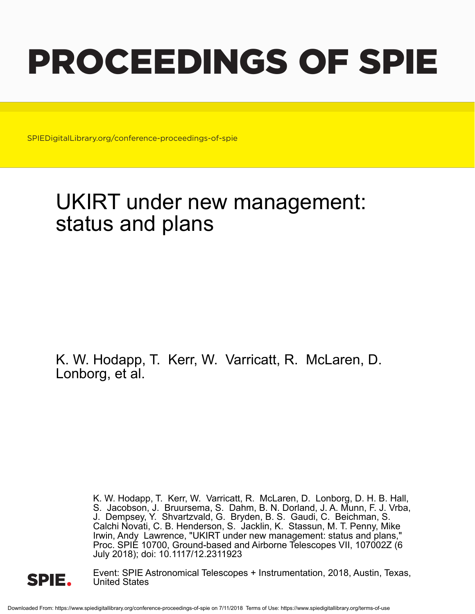# PROCEEDINGS OF SPIE

SPIEDigitalLibrary.org/conference-proceedings-of-spie

# UKIRT under new management: status and plans

K. W. Hodapp, T. Kerr, W. Varricatt, R. McLaren, D. Lonborg, et al.

> K. W. Hodapp, T. Kerr, W. Varricatt, R. McLaren, D. Lonborg, D. H. B. Hall, S. Jacobson, J. Bruursema, S. Dahm, B. N. Dorland, J. A. Munn, F. J. Vrba, J. Dempsey, Y. Shvartzvald, G. Bryden, B. S. Gaudi, C. Beichman, S. Calchi Novati, C. B. Henderson, S. Jacklin, K. Stassun, M. T. Penny, Mike Irwin, Andy Lawrence, "UKIRT under new management: status and plans," Proc. SPIE 10700, Ground-based and Airborne Telescopes VII, 107002Z (6 July 2018); doi: 10.1117/12.2311923



Event: SPIE Astronomical Telescopes + Instrumentation, 2018, Austin, Texas, United States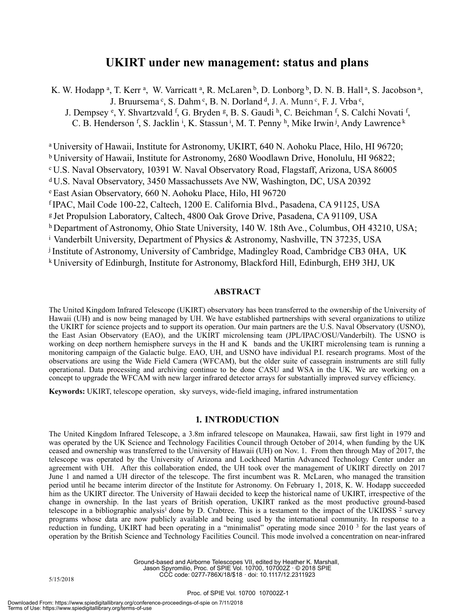### **UKIRT under new management: status and plans**

K. W. Hodapp<sup>a</sup>, T. Kerr<sup>a</sup>, W. Varricatt<sup>a</sup>, R. McLaren<sup>b</sup>, D. Lonborg<sup>b</sup>, D. N. B. Hall<sup>a</sup>, S. Jacobson<sup>a</sup>, J. Bruursema  $c$ , S. Dahm  $c$ , B. N. Dorland  $d$ , J. A. Munn  $c$ , F. J. Vrba  $c$ ,

J. Dempsey <sup>e</sup>, Y. Shvartzvald <sup>f</sup>, G. Bryden <sup>g</sup>, B. S. Gaudi <sup>h</sup>, C. Beichman <sup>f</sup>, S. Calchi Novati <sup>f</sup>, C. B. Henderson f, S. Jacklin <sup>i</sup>, K. Stassun <sup>i</sup>, M. T. Penny <sup>h</sup>, Mike Irwin <sup>j</sup>, Andy Lawrence <sup>k</sup>

a University of Hawaii, Institute for Astronomy, UKIRT, 640 N. Aohoku Place, Hilo, HI 96720;

b University of Hawaii, Institute for Astronomy, 2680 Woodlawn Drive, Honolulu, HI 96822;

c U.S. Naval Observatory, 10391 W. Naval Observatory Road, Flagstaff, Arizona, USA 86005

d U.S. Naval Observatory, 3450 Massachussets Ave NW, Washington, DC, USA 20392

e East Asian Observatory, 660 N. Aohoku Place, Hilo, HI 96720

f IPAC, Mail Code 100-22, Caltech, 1200 E. California Blvd., Pasadena, CA 91125, USA

g Jet Propulsion Laboratory, Caltech, 4800 Oak Grove Drive, Pasadena, CA 91109, USA

h Department of Astronomy, Ohio State University, 140 W. 18th Ave., Columbus, OH 43210, USA;

i Vanderbilt University, Department of Physics & Astronomy, Nashville, TN 37235, USA

j Institute of Astronomy, University of Cambridge, Madingley Road, Cambridge CB3 0HA, UK

k University of Edinburgh, Institute for Astronomy, Blackford Hill, Edinburgh, EH9 3HJ, UK

#### **ABSTRACT**

The United Kingdom Infrared Telescope (UKIRT) observatory has been transferred to the ownership of the University of Hawaii (UH) and is now being managed by UH. We have established partnerships with several organizations to utilize the UKIRT for science projects and to support its operation. Our main partners are the U.S. Naval Observatory (USNO), the East Asian Observatory (EAO), and the UKIRT microlensing team (JPL/IPAC/OSU/Vanderbilt). The USNO is working on deep northern hemisphere surveys in the H and K bands and the UKIRT microlensing team is running a monitoring campaign of the Galactic bulge. EAO, UH, and USNO have individual P.I. research programs. Most of the observations are using the Wide Field Camera (WFCAM), but the older suite of cassegrain instruments are still fully operational. Data processing and archiving continue to be done CASU and WSA in the UK. We are working on a concept to upgrade the WFCAM with new larger infrared detector arrays for substantially improved survey efficiency.

**Keywords:** UKIRT, telescope operation, sky surveys, wide-field imaging, infrared instrumentation

#### **1***.* **INTRODUCTION**

The United Kingdom Infrared Telescope, a 3.8m infrared telescope on Maunakea, Hawaii, saw first light in 1979 and was operated by the UK Science and Technology Facilities Council through October of 2014, when funding by the UK ceased and ownership was transferred to the University of Hawaii (UH) on Nov. 1. From then through May of 2017, the telescope was operated by the University of Arizona and Lockheed Martin Advanced Technology Center under an agreement with UH. After this collaboration ended, the UH took over the management of UKIRT directly on 2017 June 1 and named a UH director of the telescope. The first incumbent was R. McLaren, who managed the transition period until he became interim director of the Institute for Astronomy. On February 1, 2018, K. W. Hodapp succeeded him as the UKIRT director. The University of Hawaii decided to keep the historical name of UKIRT, irrespective of the change in ownership. In the last years of British operation, UKIRT ranked as the most productive ground-based telescope in a bibliographic analysis<sup>1</sup> done by D. Crabtree. This is a testament to the impact of the UKIDSS  $2$  survey programs whose data are now publicly available and being used by the international community. In response to a reduction in funding, UKIRT had been operating in a "minimalist" operating mode since 2010 3 for the last years of operation by the British Science and Technology Facilities Council. This mode involved a concentration on near-infrared

> Ground-based and Airborne Telescopes VII, edited by Heather K. Marshall, Jason Spyromilio, Proc. of SPIE Vol. 10700, 107002Z · © 2018 SPIE CCC code: 0277-786X/18/\$18 · doi: 10.1117/12.2311923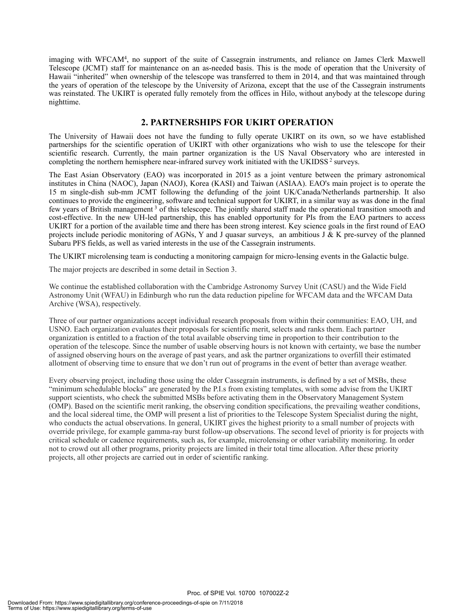imaging with WFCAM4, no support of the suite of Cassegrain instruments, and reliance on James Clerk Maxwell Telescope (JCMT) staff for maintenance on an as-needed basis. This is the mode of operation that the University of Hawaii "inherited" when ownership of the telescope was transferred to them in 2014, and that was maintained through the years of operation of the telescope by the University of Arizona, except that the use of the Cassegrain instruments was reinstated. The UKIRT is operated fully remotely from the offices in Hilo, without anybody at the telescope during nighttime.

#### **2. PARTNERSHIPS FOR UKIRT OPERATION**

The University of Hawaii does not have the funding to fully operate UKIRT on its own, so we have established partnerships for the scientific operation of UKIRT with other organizations who wish to use the telescope for their scientific research. Currently, the main partner organization is the US Naval Observatory who are interested in completing the northern hemisphere near-infrared survey work initiated with the UKIDSS<sup>2</sup> surveys.

The East Asian Observatory (EAO) was incorporated in 2015 as a joint venture between the primary astronomical institutes in China (NAOC), Japan (NAOJ), Korea (KASI) and Taiwan (ASIAA). EAO's main project is to operate the 15 m single-dish sub-mm JCMT following the defunding of the joint UK/Canada/Netherlands partnership. It also continues to provide the engineering, software and technical support for UKIRT, in a similar way as was done in the final few years of British management 3 of this telescope. The jointly shared staff made the operational transition smooth and cost-effective. In the new UH-led partnership, this has enabled opportunity for PIs from the EAO partners to access UKIRT for a portion of the available time and there has been strong interest. Key science goals in the first round of EAO projects include periodic monitoring of AGNs, Y and J quasar surveys, an ambitious J & K pre-survey of the planned Subaru PFS fields, as well as varied interests in the use of the Cassegrain instruments.

The UKIRT microlensing team is conducting a monitoring campaign for micro-lensing events in the Galactic bulge.

The major projects are described in some detail in Section 3.

We continue the established collaboration with the Cambridge Astronomy Survey Unit (CASU) and the Wide Field Astronomy Unit (WFAU) in Edinburgh who run the data reduction pipeline for WFCAM data and the WFCAM Data Archive (WSA), respectively.

Three of our partner organizations accept individual research proposals from within their communities: EAO, UH, and USNO. Each organization evaluates their proposals for scientific merit, selects and ranks them. Each partner organization is entitled to a fraction of the total available observing time in proportion to their contribution to the operation of the telescope. Since the number of usable observing hours is not known with certainty, we base the number of assigned observing hours on the average of past years, and ask the partner organizations to overfill their estimated allotment of observing time to ensure that we don't run out of programs in the event of better than average weather.

Every observing project, including those using the older Cassegrain instruments, is defined by a set of MSBs, these "minimum schedulable blocks" are generated by the P.I.s from existing templates, with some advise from the UKIRT support scientists, who check the submitted MSBs before activating them in the Observatory Management System (OMP). Based on the scientific merit ranking, the observing condition specifications, the prevailing weather conditions, and the local sidereal time, the OMP will present a list of priorities to the Telescope System Specialist during the night, who conducts the actual observations. In general, UKIRT gives the highest priority to a small number of projects with override privilege, for example gamma-ray burst follow-up observations. The second level of priority is for projects with critical schedule or cadence requirements, such as, for example, microlensing or other variability monitoring. In order not to crowd out all other programs, priority projects are limited in their total time allocation. After these priority projects, all other projects are carried out in order of scientific ranking.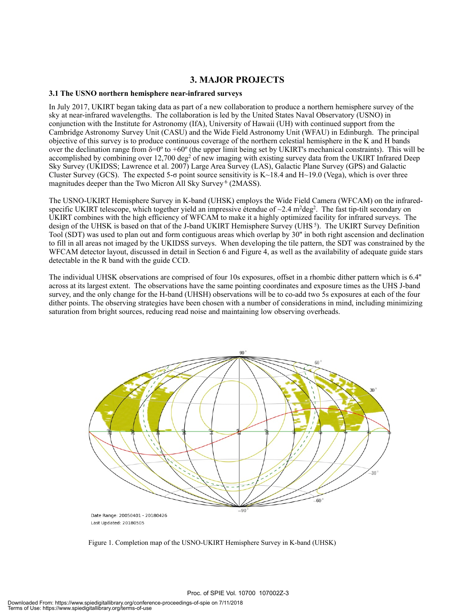#### **3. MAJOR PROJECTS**

#### **3.1 The USNO northern hemisphere near-infrared surveys**

In July 2017, UKIRT began taking data as part of a new collaboration to produce a northern hemisphere survey of the sky at near-infrared wavelengths. The collaboration is led by the United States Naval Observatory (USNO) in conjunction with the Institute for Astronomy (IfA), University of Hawaii (UH) with continued support from the Cambridge Astronomy Survey Unit (CASU) and the Wide Field Astronomy Unit (WFAU) in Edinburgh. The principal objective of this survey is to produce continuous coverage of the northern celestial hemisphere in the K and H bands over the declination range from  $\delta$ =0° to +60° (the upper limit being set by UKIRT's mechanical constraints). This will be accomplished by combining over 12,700 deg<sup>2</sup> of new imaging with existing survey data from the UKIRT Infrared Deep Sky Survey (UKIDSS; Lawrence et al. 2007) Large Area Survey (LAS), Galactic Plane Survey (GPS) and Galactic Cluster Survey (GCS). The expected 5- $\sigma$  point source sensitivity is K $\sim$ 18.4 and H $\sim$ 19.0 (Vega), which is over three magnitudes deeper than the Two Micron All Sky Survey<sup>6</sup> (2MASS).

The USNO-UKIRT Hemisphere Survey in K-band (UHSK) employs the Wide Field Camera (WFCAM) on the infraredspecific UKIRT telescope, which together yield an impressive étendue of ~2.4 m<sup>2</sup>deg<sup>2</sup>. The fast tip-tilt secondary on UKIRT combines with the high efficiency of WFCAM to make it a highly optimized facility for infrared surveys. The design of the UHSK is based on that of the J-band UKIRT Hemisphere Survey (UHS<sup>5</sup>). The UKIRT Survey Definition Tool (SDT) was used to plan out and form contiguous areas which overlap by 30'' in both right ascension and declination to fill in all areas not imaged by the UKIDSS surveys. When developing the tile pattern, the SDT was constrained by the WFCAM detector layout, discussed in detail in Section 6 and Figure 4, as well as the availability of adequate guide stars detectable in the R band with the guide CCD.

The individual UHSK observations are comprised of four 10s exposures, offset in a rhombic dither pattern which is 6.4'' across at its largest extent. The observations have the same pointing coordinates and exposure times as the UHS J-band survey, and the only change for the H-band (UHSH) observations will be to co-add two 5s exposures at each of the four dither points. The observing strategies have been chosen with a number of considerations in mind, including minimizing saturation from bright sources, reducing read noise and maintaining low observing overheads.



Figure 1. Completion map of the USNO-UKIRT Hemisphere Survey in K-band (UHSK)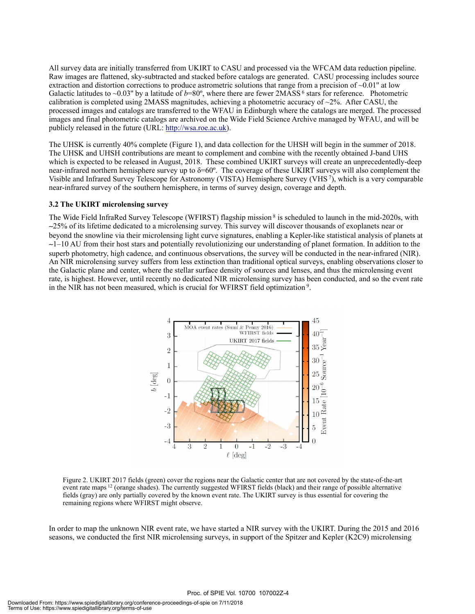All survey data are initially transferred from UKIRT to CASU and processed via the WFCAM data reduction pipeline. Raw images are flattened, sky-subtracted and stacked before catalogs are generated. CASU processing includes source extraction and distortion corrections to produce astrometric solutions that range from a precision of  $\sim 0.01$ " at low Galactic latitudes to ~0.03" by a latitude of  $b=80^\circ$ , where there are fewer 2MASS<sup>6</sup> stars for reference. Photometric calibration is completed using 2MASS magnitudes, achieving a photometric accuracy of  $\sim$ 2%. After CASU, the processed images and catalogs are transferred to the WFAU in Edinburgh where the catalogs are merged. The processed images and final photometric catalogs are archived on the Wide Field Science Archive managed by WFAU, and will be publicly released in the future (URL: http://wsa.roe.ac.uk).

The UHSK is currently 40% complete (Figure 1), and data collection for the UHSH will begin in the summer of 2018. The UHSK and UHSH contributions are meant to complement and combine with the recently obtained J-band UHS which is expected to be released in August, 2018. These combined UKIRT surveys will create an unprecedentedly-deep near-infrared northern hemisphere survey up to  $\delta$ =60°. The coverage of these UKIRT surveys will also complement the Visible and Infrared Survey Telescope for Astronomy (VISTA) Hemisphere Survey (VHS 7), which is a very comparable near-infrared survey of the southern hemisphere, in terms of survey design, coverage and depth.

#### **3.2 The UKIRT microlensing survey**

The Wide Field InfraRed Survey Telescope (WFIRST) flagship mission 8 is scheduled to launch in the mid-2020s, with ∼25% of its lifetime dedicated to a microlensing survey. This survey will discover thousands of exoplanets near or beyond the snowline via their microlensing light curve signatures, enabling a Kepler-like statistical analysis of planets at ∼1–10 AU from their host stars and potentially revolutionizing our understanding of planet formation. In addition to the superb photometry, high cadence, and continuous observations, the survey will be conducted in the near-infrared (NIR). An NIR microlensing survey suffers from less extinction than traditional optical surveys, enabling observations closer to the Galactic plane and center, where the stellar surface density of sources and lenses, and thus the microlensing event rate, is highest. However, until recently no dedicated NIR microlensing survey has been conducted, and so the event rate in the NIR has not been measured, which is crucial for WFIRST field optimization 9.



Figure 2. UKIRT 2017 fields (green) cover the regions near the Galactic center that are not covered by the state-of-the-art event rate maps 12 (orange shades). The currently suggested WFIRST fields (black) and their range of possible alternative fields (gray) are only partially covered by the known event rate. The UKIRT survey is thus essential for covering the remaining regions where WFIRST might observe.

In order to map the unknown NIR event rate, we have started a NIR survey with the UKIRT. During the 2015 and 2016 seasons, we conducted the first NIR microlensing surveys, in support of the Spitzer and Kepler (K2C9) microlensing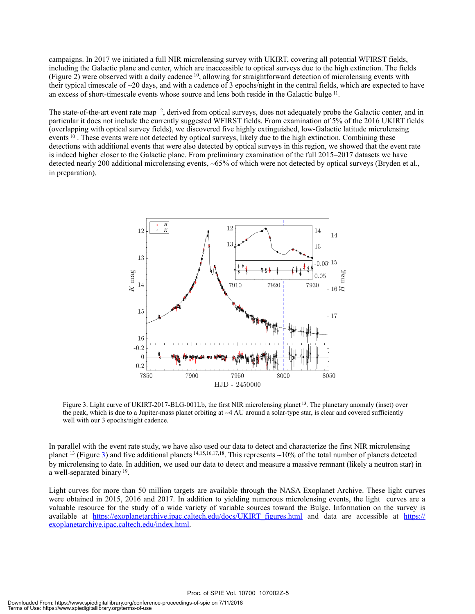campaigns. In 2017 we initiated a full NIR microlensing survey with UKIRT, covering all potential WFIRST fields, including the Galactic plane and center, which are inaccessible to optical surveys due to the high extinction. The fields (Figure 2) were observed with a daily cadence 10, allowing for straightforward detection of microlensing events with their typical timescale of ∼20 days, and with a cadence of 3 epochs/night in the central fields, which are expected to have an excess of short-timescale events whose source and lens both reside in the Galactic bulge 11.

The state-of-the-art event rate map <sup>12</sup>, derived from optical surveys, does not adequately probe the Galactic center, and in particular it does not include the currently suggested WFIRST fields. From examination of 5% of the 2016 UKIRT fields (overlapping with optical survey fields), we discovered five highly extinguished, low-Galactic latitude microlensing events <sup>10</sup>. These events were not detected by optical surveys, likely due to the high extinction. Combining these detections with additional events that were also detected by optical surveys in this region, we showed that the event rate is indeed higher closer to the Galactic plane. From preliminary examination of the full 2015–2017 datasets we have detected nearly 200 additional microlensing events, ∼65% of which were not detected by optical surveys (Bryden et al., in preparation).



Figure 3. Light curve of UKIRT-2017-BLG-001Lb, the first NIR microlensing planet <sup>13</sup>. The planetary anomaly (inset) over the peak, which is due to a Jupiter-mass planet orbiting at ∼4 AU around a solar-type star, is clear and covered sufficiently well with our 3 epochs/night cadence.

In parallel with the event rate study, we have also used our data to detect and characterize the first NIR microlensing planet 13 (Figure 3) and five additional planets 14,15,16,17,18. This represents ∼10% of the total number of planets detected by microlensing to date. In addition, we used our data to detect and measure a massive remnant (likely a neutron star) in a well-separated binary 19.

Light curves for more than 50 million targets are available through the NASA Exoplanet Archive. These light curves were obtained in 2015, 2016 and 2017. In addition to yielding numerous microlensing events, the light curves are a valuable resource for the study of a wide variety of variable sources toward the Bulge. Information on the survey is available at https://exoplanetarchive.ipac.caltech.edu/docs/UKIRT\_figures.html and data are accessible at https:// exoplanetarchive.ipac.caltech.edu/index.html.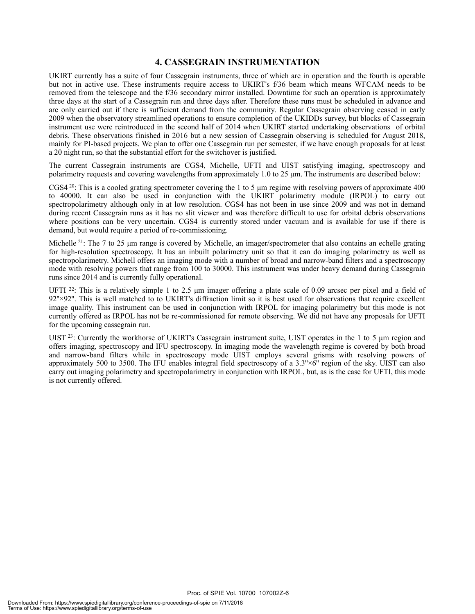#### **4. CASSEGRAIN INSTRUMENTATION**

UKIRT currently has a suite of four Cassegrain instruments, three of which are in operation and the fourth is operable but not in active use. These instruments require access to UKIRT's f/36 beam which means WFCAM needs to be removed from the telescope and the f/36 secondary mirror installed. Downtime for such an operation is approximately three days at the start of a Cassegrain run and three days after. Therefore these runs must be scheduled in advance and are only carried out if there is sufficient demand from the community. Regular Cassegrain observing ceased in early 2009 when the observatory streamlined operations to ensure completion of the UKIDDs survey, but blocks of Cassegrain instrument use were reintroduced in the second half of 2014 when UKIRT started undertaking observations of orbital debris. These observations finished in 2016 but a new session of Cassegrain observing is scheduled for August 2018, mainly for PI-based projects. We plan to offer one Cassegrain run per semester, if we have enough proposals for at least a 20 night run, so that the substantial effort for the switchover is justified.

The current Cassegrain instruments are CGS4, Michelle, UFTI and UIST satisfying imaging, spectroscopy and polarimetry requests and covering wavelengths from approximately 1.0 to 25 µm. The instruments are described below:

CGS4<sup>20</sup>: This is a cooled grating spectrometer covering the 1 to 5  $\mu$ m regime with resolving powers of approximate 400 to 40000. It can also be used in conjunction with the UKIRT polarimetry module (IRPOL) to carry out spectropolarimetry although only in at low resolution. CGS4 has not been in use since 2009 and was not in demand during recent Cassegrain runs as it has no slit viewer and was therefore difficult to use for orbital debris observations where positions can be very uncertain. CGS4 is currently stored under vacuum and is available for use if there is demand, but would require a period of re-commissioning.

Michelle <sup>21</sup>: The 7 to 25  $\mu$ m range is covered by Michelle, an imager/spectrometer that also contains an echelle grating for high-resolution spectroscopy. It has an inbuilt polarimetry unit so that it can do imaging polarimetry as well as spectropolarimetry. Michell offers an imaging mode with a number of broad and narrow-band filters and a spectroscopy mode with resolving powers that range from 100 to 30000. This instrument was under heavy demand during Cassegrain runs since 2014 and is currently fully operational.

UFTI <sup>22</sup>: This is a relatively simple 1 to 2.5  $\mu$ m imager offering a plate scale of 0.09 arcsec per pixel and a field of 92"×92". This is well matched to to UKIRT's diffraction limit so it is best used for observations that require excellent image quality. This instrument can be used in conjunction with IRPOL for imaging polarimetry but this mode is not currently offered as IRPOL has not be re-commissioned for remote observing. We did not have any proposals for UFTI for the upcoming cassegrain run.

UIST  $^{23}$ : Currently the workhorse of UKIRT's Cassegrain instrument suite, UIST operates in the 1 to 5 µm region and offers imaging, spectroscopy and IFU spectroscopy. In imaging mode the wavelength regime is covered by both broad and narrow-band filters while in spectroscopy mode UIST employs several grisms with resolving powers of approximately 500 to 3500. The IFU enables integral field spectroscopy of a 3.3''×6'' region of the sky. UIST can also carry out imaging polarimetry and spectropolarimetry in conjunction with IRPOL, but, as is the case for UFTI, this mode is not currently offered.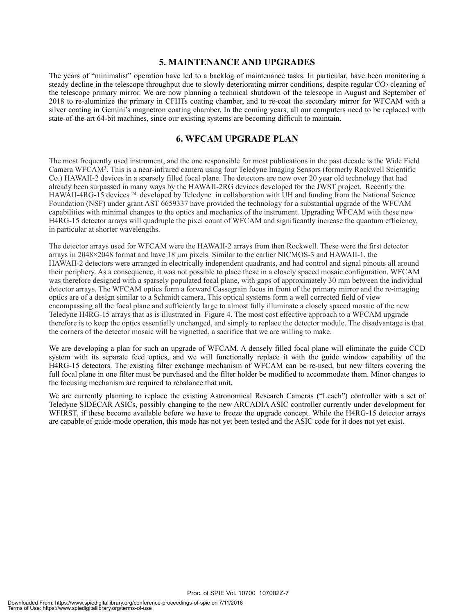#### **5. MAINTENANCE AND UPGRADES**

The years of "minimalist" operation have led to a backlog of maintenance tasks. In particular, have been monitoring a steady decline in the telescope throughput due to slowly deteriorating mirror conditions, despite regular CO<sub>2</sub> cleaning of the telescope primary mirror. We are now planning a technical shutdown of the telescope in August and September of 2018 to re-aluminize the primary in CFHTs coating chamber, and to re-coat the secondary mirror for WFCAM with a silver coating in Gemini's magnetron coating chamber. In the coming years, all our computers need to be replaced with state-of-the-art 64-bit machines, since our existing systems are becoming difficult to maintain.

#### **6. WFCAM UPGRADE PLAN**

The most frequently used instrument, and the one responsible for most publications in the past decade is the Wide Field Camera WFCAM3. This is a near-infrared camera using four Teledyne Imaging Sensors (formerly Rockwell Scientific Co.) HAWAII-2 devices in a sparsely filled focal plane. The detectors are now over 20 year old technology that had already been surpassed in many ways by the HAWAII-2RG devices developed for the JWST project. Recently the HAWAII-4RG-15 devices <sup>24</sup> developed by Teledyne in collaboration with UH and funding from the National Science Foundation (NSF) under grant AST 6659337 have provided the technology for a substantial upgrade of the WFCAM capabilities with minimal changes to the optics and mechanics of the instrument. Upgrading WFCAM with these new H4RG-15 detector arrays will quadruple the pixel count of WFCAM and significantly increase the quantum efficiency, in particular at shorter wavelengths.

The detector arrays used for WFCAM were the HAWAII-2 arrays from then Rockwell. These were the first detector arrays in 2048×2048 format and have 18 µm pixels. Similar to the earlier NICMOS-3 and HAWAII-1, the HAWAII-2 detectors were arranged in electrically independent quadrants, and had control and signal pinouts all around their periphery. As a consequence, it was not possible to place these in a closely spaced mosaic configuration. WFCAM was therefore designed with a sparsely populated focal plane, with gaps of approximately 30 mm between the individual detector arrays. The WFCAM optics form a forward Cassegrain focus in front of the primary mirror and the re-imaging optics are of a design similar to a Schmidt camera. This optical systems form a well corrected field of view encompassing all the focal plane and sufficiently large to almost fully illuminate a closely spaced mosaic of the new Teledyne H4RG-15 arrays that as is illustrated in Figure 4. The most cost effective approach to a WFCAM upgrade therefore is to keep the optics essentially unchanged, and simply to replace the detector module. The disadvantage is that the corners of the detector mosaic will be vignetted, a sacrifice that we are willing to make.

We are developing a plan for such an upgrade of WFCAM. A densely filled focal plane will eliminate the guide CCD system with its separate feed optics, and we will functionally replace it with the guide window capability of the H4RG-15 detectors. The existing filter exchange mechanism of WFCAM can be re-used, but new filters covering the full focal plane in one filter must be purchased and the filter holder be modified to accommodate them. Minor changes to the focusing mechanism are required to rebalance that unit.

We are currently planning to replace the existing Astronomical Research Cameras ("Leach") controller with a set of Teledyne SIDECAR ASICs, possibly changing to the new ARCADIA ASIC controller currently under development for WFIRST, if these become available before we have to freeze the upgrade concept. While the H4RG-15 detector arrays are capable of guide-mode operation, this mode has not yet been tested and the ASIC code for it does not yet exist.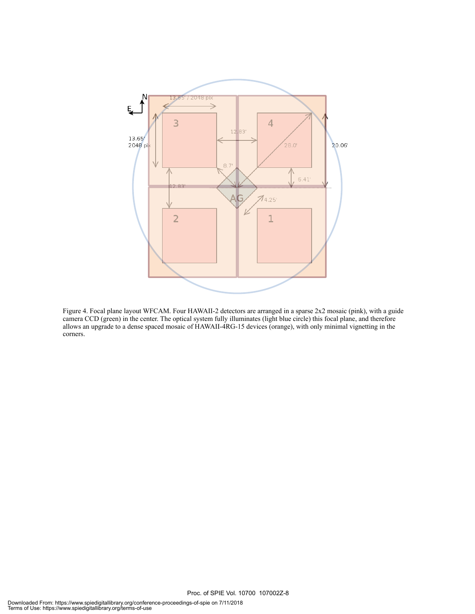

Figure 4. Focal plane layout WFCAM. Four HAWAII-2 detectors are arranged in a sparse 2x2 mosaic (pink), with a guide camera CCD (green) in the center. The optical system fully illuminates (light blue circle) this focal plane, and therefore allows an upgrade to a dense spaced mosaic of HAWAII-4RG-15 devices (orange), with only minimal vignetting in the corners.